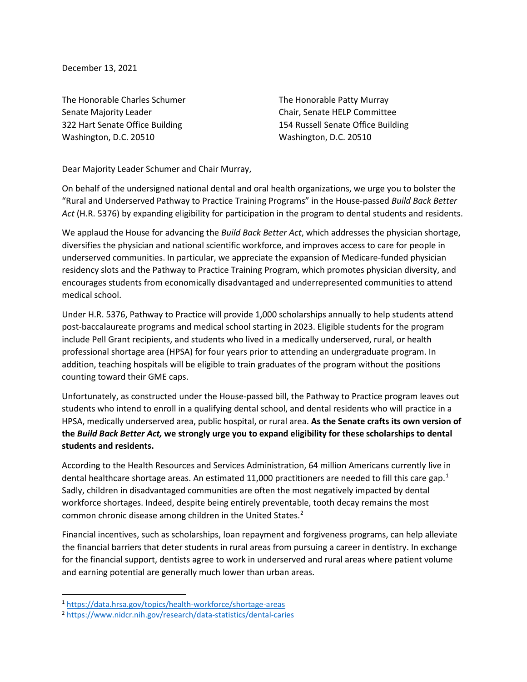December 13, 2021

The Honorable Charles Schumer Senate Majority Leader 322 Hart Senate Office Building Washington, D.C. 20510

The Honorable Patty Murray Chair, Senate HELP Committee 154 Russell Senate Office Building Washington, D.C. 20510

Dear Majority Leader Schumer and Chair Murray,

On behalf of the undersigned national dental and oral health organizations, we urge you to bolster the "Rural and Underserved Pathway to Practice Training Programs" in the House-passed *Build Back Better Act* (H.R. 5376) by expanding eligibility for participation in the program to dental students and residents.

We applaud the House for advancing the *Build Back Better Act*, which addresses the physician shortage, diversifies the physician and national scientific workforce, and improves access to care for people in underserved communities. In particular, we appreciate the expansion of Medicare-funded physician residency slots and the Pathway to Practice Training Program, which promotes physician diversity, and encourages students from economically disadvantaged and underrepresented communities to attend medical school.

Under H.R. 5376, Pathway to Practice will provide 1,000 scholarships annually to help students attend post-baccalaureate programs and medical school starting in 2023. Eligible students for the program include Pell Grant recipients, and students who lived in a medically underserved, rural, or health professional shortage area (HPSA) for four years prior to attending an undergraduate program. In addition, teaching hospitals will be eligible to train graduates of the program without the positions counting toward their GME caps.

Unfortunately, as constructed under the House-passed bill, the Pathway to Practice program leaves out students who intend to enroll in a qualifying dental school, and dental residents who will practice in a HPSA, medically underserved area, public hospital, or rural area. **As the Senate crafts its own version of the** *Build Back Better Act,* **we strongly urge you to expand eligibility for these scholarships to dental students and residents.**

According to the Health Resources and Services Administration, 64 million Americans currently live in dental healthcare shortage areas. An estimated [1](#page-0-0)1,000 practitioners are needed to fill this care gap.<sup>1</sup> Sadly, children in disadvantaged communities are often the most negatively impacted by dental workforce shortages. Indeed, despite being entirely preventable, tooth decay remains the most common chronic disease among children in the United States.<sup>[2](#page-0-1)</sup>

Financial incentives, such as scholarships, loan repayment and forgiveness programs, can help alleviate the financial barriers that deter students in rural areas from pursuing a career in dentistry. In exchange for the financial support, dentists agree to work in underserved and rural areas where patient volume and earning potential are generally much lower than urban areas.

<span id="page-0-0"></span><sup>1</sup> <https://data.hrsa.gov/topics/health-workforce/shortage-areas>

<span id="page-0-1"></span><sup>2</sup> <https://www.nidcr.nih.gov/research/data-statistics/dental-caries>